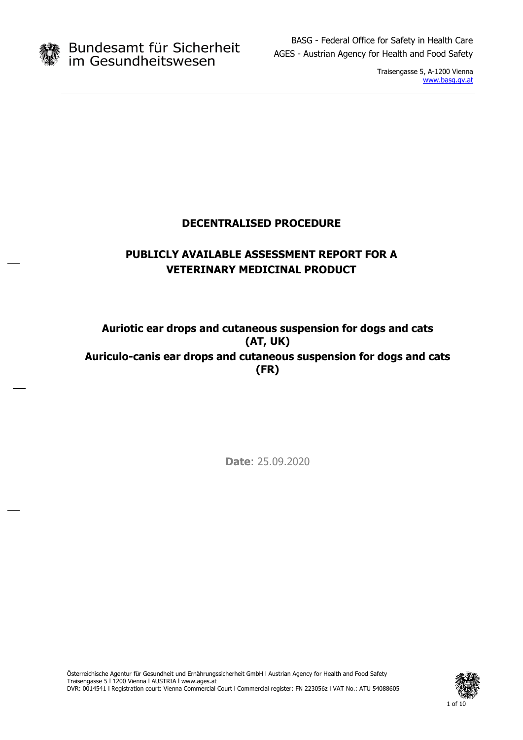

Traisengasse 5, A-1200 Vienna [www.basg.gv.at](http://www.basg.gv.at/)

## **DECENTRALISED PROCEDURE**

## **PUBLICLY AVAILABLE ASSESSMENT REPORT FOR A VETERINARY MEDICINAL PRODUCT**

## **Auriotic ear drops and cutaneous suspension for dogs and cats (AT, UK) Auriculo-canis ear drops and cutaneous suspension for dogs and cats (FR)**

**Date**: 25.09.2020

Österreichische Agentur für Gesundheit und Ernährungssicherheit GmbH l Austrian Agency for Health and Food Safety Traisengasse 5 l 1200 Vienna l AUSTRIA l www.ages.at DVR: 0014541 l Registration court: Vienna Commercial Court l Commercial register: FN 223056z l VAT No.: ATU 54088605

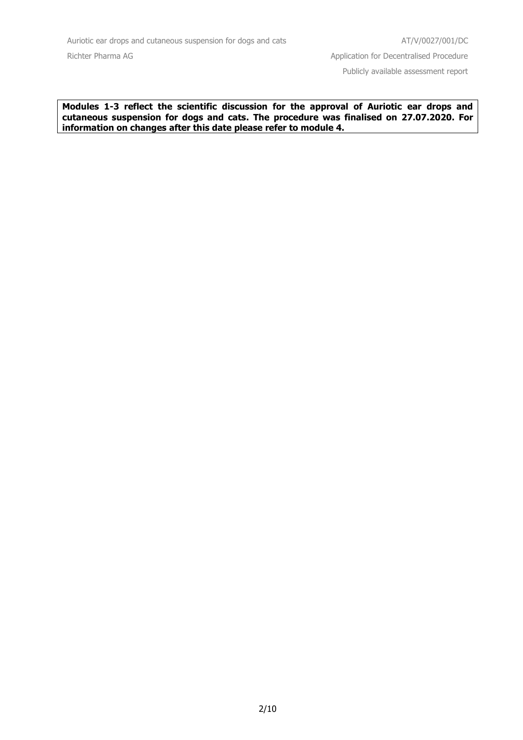**Modules 1-3 reflect the scientific discussion for the approval of Auriotic ear drops and cutaneous suspension for dogs and cats. The procedure was finalised on 27.07.2020. For information on changes after this date please refer to module 4.**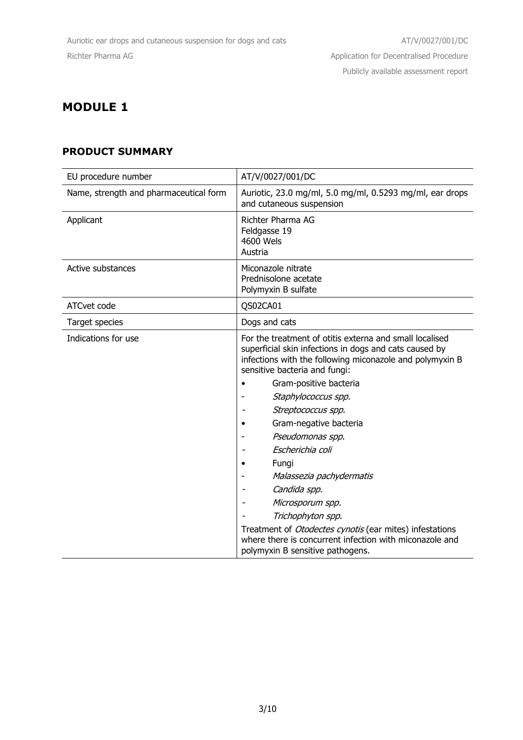## **PRODUCT SUMMARY**

| EU procedure number                    | AT/V/0027/001/DC                                                                                                                                                                                               |  |
|----------------------------------------|----------------------------------------------------------------------------------------------------------------------------------------------------------------------------------------------------------------|--|
| Name, strength and pharmaceutical form | Auriotic, 23.0 mg/ml, 5.0 mg/ml, 0.5293 mg/ml, ear drops<br>and cutaneous suspension                                                                                                                           |  |
| Applicant                              | Richter Pharma AG<br>Feldgasse 19<br>4600 Wels<br>Austria                                                                                                                                                      |  |
| Active substances                      | Miconazole nitrate<br>Prednisolone acetate<br>Polymyxin B sulfate                                                                                                                                              |  |
| ATCvet code                            | QS02CA01                                                                                                                                                                                                       |  |
| Target species                         | Dogs and cats                                                                                                                                                                                                  |  |
| Indications for use                    | For the treatment of otitis externa and small localised<br>superficial skin infections in dogs and cats caused by<br>infections with the following miconazole and polymyxin B<br>sensitive bacteria and fungi: |  |
|                                        | Gram-positive bacteria                                                                                                                                                                                         |  |
|                                        | Staphylococcus spp.                                                                                                                                                                                            |  |
|                                        | Streptococcus spp.                                                                                                                                                                                             |  |
|                                        | Gram-negative bacteria                                                                                                                                                                                         |  |
|                                        | Pseudomonas spp.                                                                                                                                                                                               |  |
|                                        | Escherichia coli                                                                                                                                                                                               |  |
|                                        | Fungi                                                                                                                                                                                                          |  |
|                                        | Malassezia pachydermatis                                                                                                                                                                                       |  |
|                                        | Candida spp.                                                                                                                                                                                                   |  |
|                                        | Microsporum spp.                                                                                                                                                                                               |  |
|                                        | Trichophyton spp.                                                                                                                                                                                              |  |
|                                        | Treatment of Otodectes cynotis (ear mites) infestations<br>where there is concurrent infection with miconazole and<br>polymyxin B sensitive pathogens.                                                         |  |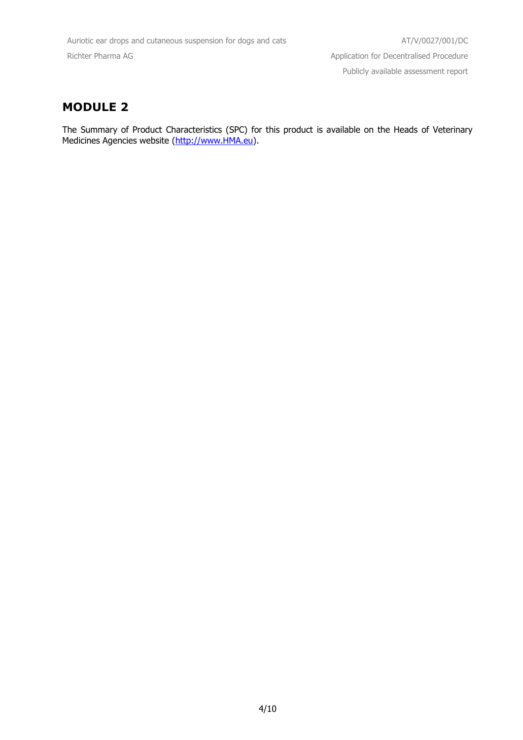The Summary of Product Characteristics (SPC) for this product is available on the Heads of Veterinary Medicines Agencies website [\(http://www.HMA.eu\)](http://www.hma.eu/).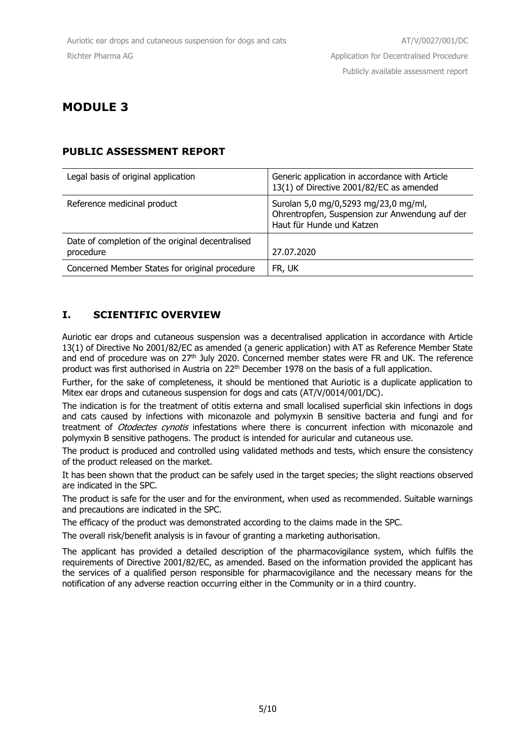### **PUBLIC ASSESSMENT REPORT**

| Legal basis of original application                           | Generic application in accordance with Article<br>13(1) of Directive 2001/82/EC as amended                          |
|---------------------------------------------------------------|---------------------------------------------------------------------------------------------------------------------|
| Reference medicinal product                                   | Surolan 5,0 mg/0,5293 mg/23,0 mg/ml,<br>Ohrentropfen, Suspension zur Anwendung auf der<br>Haut für Hunde und Katzen |
| Date of completion of the original decentralised<br>procedure | 27.07.2020                                                                                                          |
| Concerned Member States for original procedure                | FR, UK                                                                                                              |

### **I. SCIENTIFIC OVERVIEW**

Auriotic ear drops and cutaneous suspension was a decentralised application in accordance with Article 13(1) of Directive No 2001/82/EC as amended (a generic application) with AT as Reference Member State and end of procedure was on 27<sup>th</sup> July 2020. Concerned member states were FR and UK. The reference product was first authorised in Austria on 22<sup>th</sup> December 1978 on the basis of a full application.

Further, for the sake of completeness, it should be mentioned that Auriotic is a duplicate application to Mitex ear drops and cutaneous suspension for dogs and cats (AT/V/0014/001/DC).

The indication is for the treatment of otitis externa and small localised superficial skin infections in dogs and cats caused by infections with miconazole and polymyxin B sensitive bacteria and fungi and for treatment of Otodectes cynotis infestations where there is concurrent infection with miconazole and polymyxin B sensitive pathogens. The product is intended for auricular and cutaneous use.

The product is produced and controlled using validated methods and tests, which ensure the consistency of the product released on the market.

It has been shown that the product can be safely used in the target species; the slight reactions observed are indicated in the SPC.

The product is safe for the user and for the environment, when used as recommended. Suitable warnings and precautions are indicated in the SPC.

The efficacy of the product was demonstrated according to the claims made in the SPC.

The overall risk/benefit analysis is in favour of granting a marketing authorisation.

The applicant has provided a detailed description of the pharmacovigilance system, which fulfils the requirements of Directive 2001/82/EC, as amended. Based on the information provided the applicant has the services of a qualified person responsible for pharmacovigilance and the necessary means for the notification of any adverse reaction occurring either in the Community or in a third country.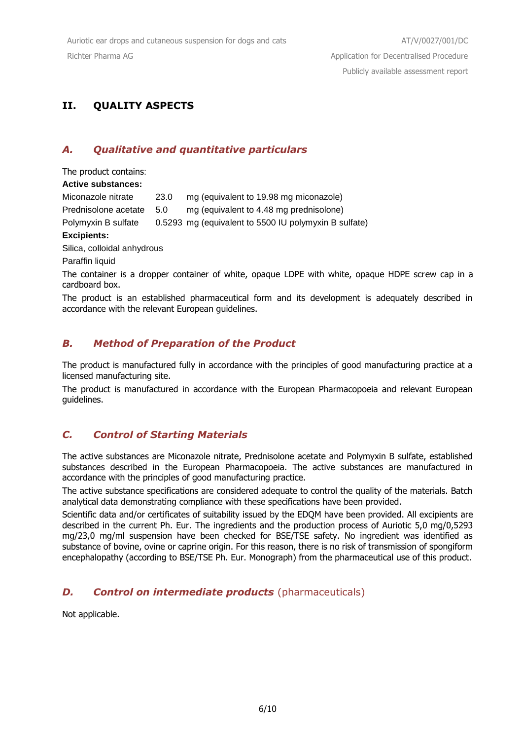## **II. QUALITY ASPECTS**

## *A. Qualitative and quantitative particulars*

The product contains:

#### **Active substances:**

Miconazole nitrate 23.0 mg (equivalent to 19.98 mg miconazole) Prednisolone acetate 5.0 mg (equivalent to 4.48 mg prednisolone)

Polymyxin B sulfate 0.5293 mg (equivalent to 5500 IU polymyxin B sulfate)

#### **Excipients:**

Silica, colloidal anhydrous

Paraffin liquid

The container is a dropper container of white, opaque LDPE with white, opaque HDPE screw cap in a cardboard box.

The product is an established pharmaceutical form and its development is adequately described in accordance with the relevant European guidelines.

## *B. Method of Preparation of the Product*

The product is manufactured fully in accordance with the principles of good manufacturing practice at a licensed manufacturing site.

The product is manufactured in accordance with the European Pharmacopoeia and relevant European guidelines.

## *C. Control of Starting Materials*

The active substances are Miconazole nitrate, Prednisolone acetate and Polymyxin B sulfate, established substances described in the European Pharmacopoeia. The active substances are manufactured in accordance with the principles of good manufacturing practice.

The active substance specifications are considered adequate to control the quality of the materials. Batch analytical data demonstrating compliance with these specifications have been provided.

Scientific data and/or certificates of suitability issued by the EDQM have been provided. All excipients are described in the current Ph. Eur. The ingredients and the production process of Auriotic 5,0 mg/0,5293 mg/23,0 mg/ml suspension have been checked for BSE/TSE safety. No ingredient was identified as substance of bovine, ovine or caprine origin. For this reason, there is no risk of transmission of spongiform encephalopathy (according to BSE/TSE Ph. Eur. Monograph) from the pharmaceutical use of this product.

## *D. Control on intermediate products* (pharmaceuticals)

Not applicable.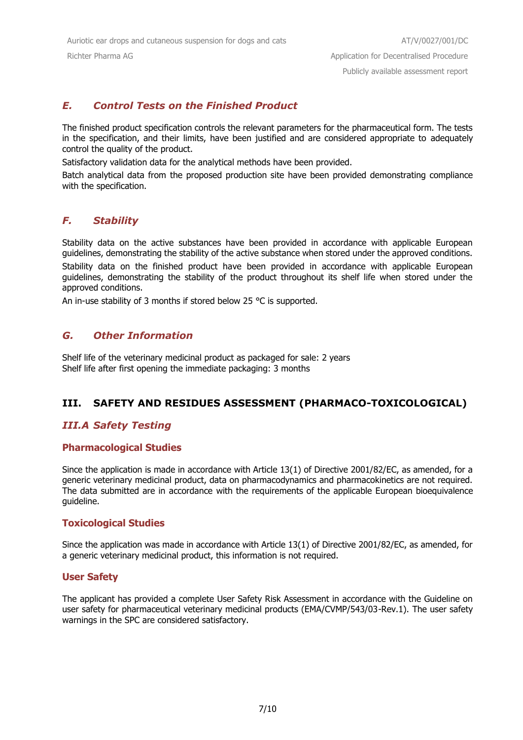## *E. Control Tests on the Finished Product*

The finished product specification controls the relevant parameters for the pharmaceutical form. The tests in the specification, and their limits, have been justified and are considered appropriate to adequately control the quality of the product.

Satisfactory validation data for the analytical methods have been provided.

Batch analytical data from the proposed production site have been provided demonstrating compliance with the specification.

### *F. Stability*

Stability data on the active substances have been provided in accordance with applicable European guidelines, demonstrating the stability of the active substance when stored under the approved conditions.

Stability data on the finished product have been provided in accordance with applicable European guidelines, demonstrating the stability of the product throughout its shelf life when stored under the approved conditions.

An in-use stability of 3 months if stored below 25 °C is supported.

#### *G. Other Information*

Shelf life of the veterinary medicinal product as packaged for sale: 2 years Shelf life after first opening the immediate packaging: 3 months

### **III. SAFETY AND RESIDUES ASSESSMENT (PHARMACO-TOXICOLOGICAL)**

#### *III.A Safety Testing*

#### **Pharmacological Studies**

Since the application is made in accordance with Article 13(1) of Directive 2001/82/EC, as amended, for a generic veterinary medicinal product, data on pharmacodynamics and pharmacokinetics are not required. The data submitted are in accordance with the requirements of the applicable European bioequivalence guideline.

#### **Toxicological Studies**

Since the application was made in accordance with Article 13(1) of Directive 2001/82/EC, as amended, for a generic veterinary medicinal product, this information is not required.

#### **User Safety**

The applicant has provided a complete User Safety Risk Assessment in accordance with the Guideline on user safety for pharmaceutical veterinary medicinal products (EMA/CVMP/543/03-Rev.1). The user safety warnings in the SPC are considered satisfactory.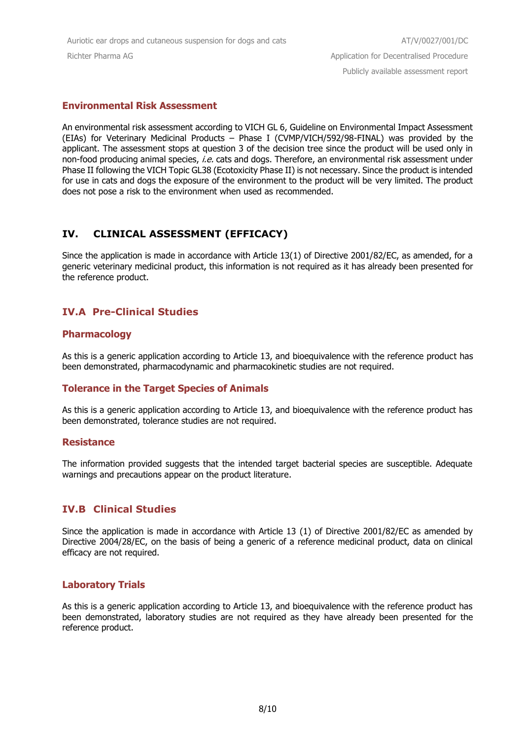#### **Environmental Risk Assessment**

An environmental risk assessment according to VICH GL 6, Guideline on Environmental Impact Assessment (EIAs) for Veterinary Medicinal Products – Phase I (CVMP/VICH/592/98-FINAL) was provided by the applicant. The assessment stops at question 3 of the decision tree since the product will be used only in non-food producing animal species, i.e. cats and dogs. Therefore, an environmental risk assessment under Phase II following the VICH Topic GL38 (Ecotoxicity Phase II) is not necessary. Since the product is intended for use in cats and dogs the exposure of the environment to the product will be very limited. The product does not pose a risk to the environment when used as recommended.

## **IV. CLINICAL ASSESSMENT (EFFICACY)**

Since the application is made in accordance with Article 13(1) of Directive 2001/82/EC, as amended, for a generic veterinary medicinal product, this information is not required as it has already been presented for the reference product.

## **IV.A Pre-Clinical Studies**

### **Pharmacology**

As this is a generic application according to Article 13, and bioequivalence with the reference product has been demonstrated, pharmacodynamic and pharmacokinetic studies are not required.

### **Tolerance in the Target Species of Animals**

As this is a generic application according to Article 13, and bioequivalence with the reference product has been demonstrated, tolerance studies are not required.

#### **Resistance**

The information provided suggests that the intended target bacterial species are susceptible. Adequate warnings and precautions appear on the product literature.

### **IV.B Clinical Studies**

Since the application is made in accordance with Article 13 (1) of Directive 2001/82/EC as amended by Directive 2004/28/EC, on the basis of being a generic of a reference medicinal product, data on clinical efficacy are not required.

#### **Laboratory Trials**

As this is a generic application according to Article 13, and bioequivalence with the reference product has been demonstrated, laboratory studies are not required as they have already been presented for the reference product.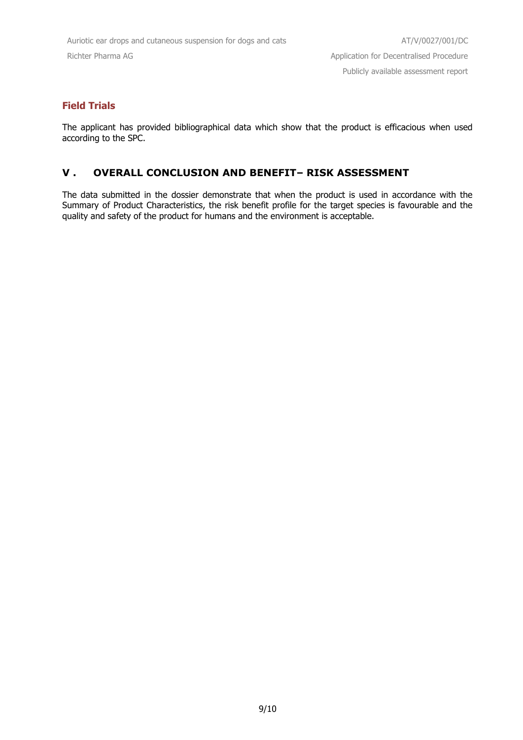### **Field Trials**

The applicant has provided bibliographical data which show that the product is efficacious when used according to the SPC.

#### **V . OVERALL CONCLUSION AND BENEFIT– RISK ASSESSMENT**

The data submitted in the dossier demonstrate that when the product is used in accordance with the Summary of Product Characteristics, the risk benefit profile for the target species is favourable and the quality and safety of the product for humans and the environment is acceptable.